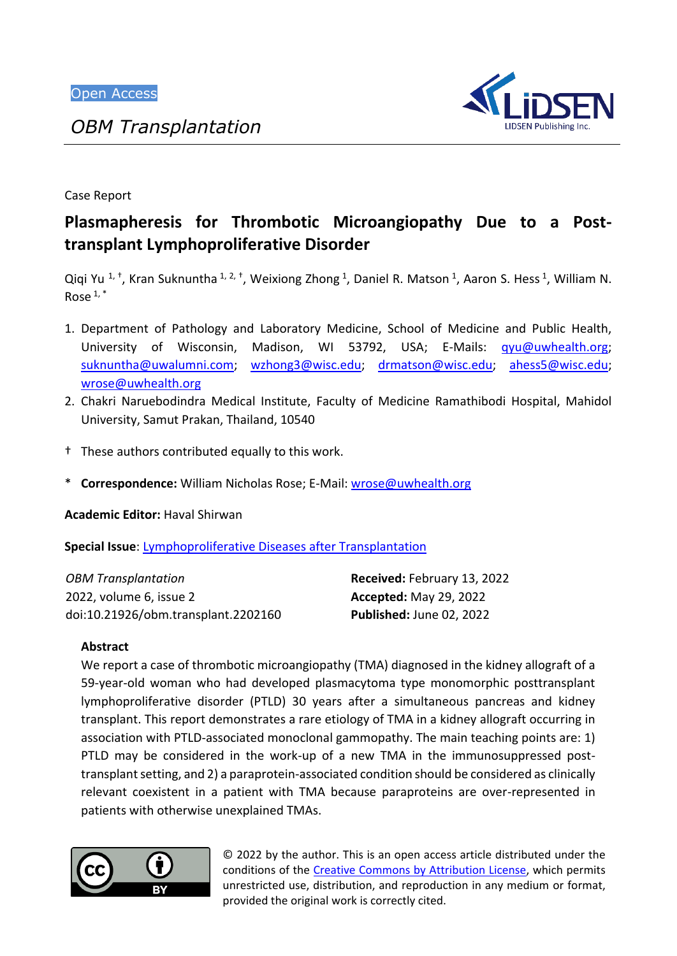*OBM Transplantation*



Case Report

# **Plasmapheresis for Thrombotic Microangiopathy Due to a Posttransplant Lymphoproliferative Disorder**

Qiqi Yu <sup>1, †</sup>, Kran Suknuntha <sup>1, 2, †</sup>, Weixiong Zhong <sup>1</sup>, Daniel R. Matson <sup>1</sup>, Aaron S. Hess <sup>1</sup>, William N.  $Rose^{1,*}$ 

- 1. Department of Pathology and Laboratory Medicine, School of Medicine and Public Health, University of Wisconsin, Madison, WI 53792, USA; E-Mails: [qyu@uwhealth.org;](mailto:qyu@uwhealth.org) [suknuntha@uwalumni.com;](mailto:suknuntha@uwalumni.com) [wzhong3@wisc.edu;](mailto:wzhong3@wisc.edu) [drmatson@wisc.edu;](mailto:drmatson@wisc.edu) [ahess5@wisc.edu;](mailto:ahess5@wisc.edu) [wrose@uwhealth.org](mailto:wrose@uwhealth.org)
- 2. Chakri Naruebodindra Medical Institute, Faculty of Medicine Ramathibodi Hospital, Mahidol University, Samut Prakan, Thailand, 10540
- † These authors contributed equally to this work.
- \* **Correspondence:** William Nicholas Rose; E-Mail: [wrose@uwhealth.org](mailto:wrose@uwhealth.org)

**Academic Editor:** Haval Shirwan

**Special Issue**: [Lymphoproliferative Diseases after Transplantation](https://www.lidsen.com/journals/transplantation/transplantation-special-issues/lymphoproliferative-dis-after-transplant)

| <b>OBM Transplantation</b>          | Received: February 13, 2022     |
|-------------------------------------|---------------------------------|
| 2022, volume 6, issue 2             | <b>Accepted: May 29, 2022</b>   |
| doi:10.21926/obm.transplant.2202160 | <b>Published: June 02, 2022</b> |

# **Abstract**

We report a case of thrombotic microangiopathy (TMA) diagnosed in the kidney allograft of a 59-year-old woman who had developed plasmacytoma type monomorphic posttransplant lymphoproliferative disorder (PTLD) 30 years after a simultaneous pancreas and kidney transplant. This report demonstrates a rare etiology of TMA in a kidney allograft occurring in association with PTLD-associated monoclonal gammopathy. The main teaching points are: 1) PTLD may be considered in the work-up of a new TMA in the immunosuppressed posttransplant setting, and 2) a paraprotein-associated condition should be considered as clinically relevant coexistent in a patient with TMA because paraproteins are over-represented in patients with otherwise unexplained TMAs.



© 2022 by the author. This is an open access article distributed under the conditions of the [Creative Commons by Attribution License,](http://creativecommons.org/licenses/by/4.0/) which permits unrestricted use, distribution, and reproduction in any medium or format, provided the original work is correctly cited.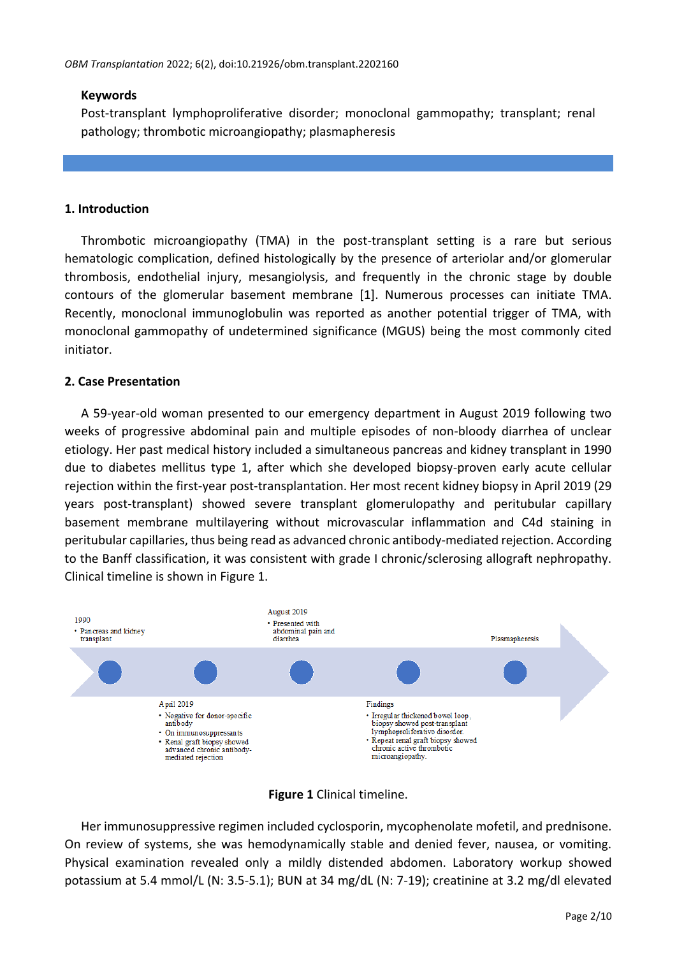# **Keywords**

Post-transplant lymphoproliferative disorder; monoclonal gammopathy; transplant; renal pathology; thrombotic microangiopathy; plasmapheresis

# **1. Introduction**

Thrombotic microangiopathy (TMA) in the post-transplant setting is a rare but serious hematologic complication, defined histologically by the presence of arteriolar and/or glomerular thrombosis, endothelial injury, mesangiolysis, and frequently in the chronic stage by double contours of the glomerular basement membrane [1]. Numerous processes can initiate TMA. Recently, monoclonal immunoglobulin was reported as another potential trigger of TMA, with monoclonal gammopathy of undetermined significance (MGUS) being the most commonly cited initiator.

## **2. Case Presentation**

A 59-year-old woman presented to our emergency department in August 2019 following two weeks of progressive abdominal pain and multiple episodes of non-bloody diarrhea of unclear etiology. Her past medical history included a simultaneous pancreas and kidney transplant in 1990 due to diabetes mellitus type 1, after which she developed biopsy-proven early acute cellular rejection within the first-year post-transplantation. Her most recent kidney biopsy in April 2019 (29 years post-transplant) showed severe transplant glomerulopathy and peritubular capillary basement membrane multilayering without microvascular inflammation and C4d staining in peritubular capillaries, thus being read as advanced chronic antibody-mediated rejection. According to the Banff classification, it was consistent with grade I chronic/sclerosing allograft nephropathy. Clinical timeline is shown in Figure 1.



#### **Figure 1** Clinical timeline.

Her immunosuppressive regimen included cyclosporin, mycophenolate mofetil, and prednisone. On review of systems, she was hemodynamically stable and denied fever, nausea, or vomiting. Physical examination revealed only a mildly distended abdomen. Laboratory workup showed potassium at 5.4 mmol/L (N: 3.5-5.1); BUN at 34 mg/dL (N: 7-19); creatinine at 3.2 mg/dl elevated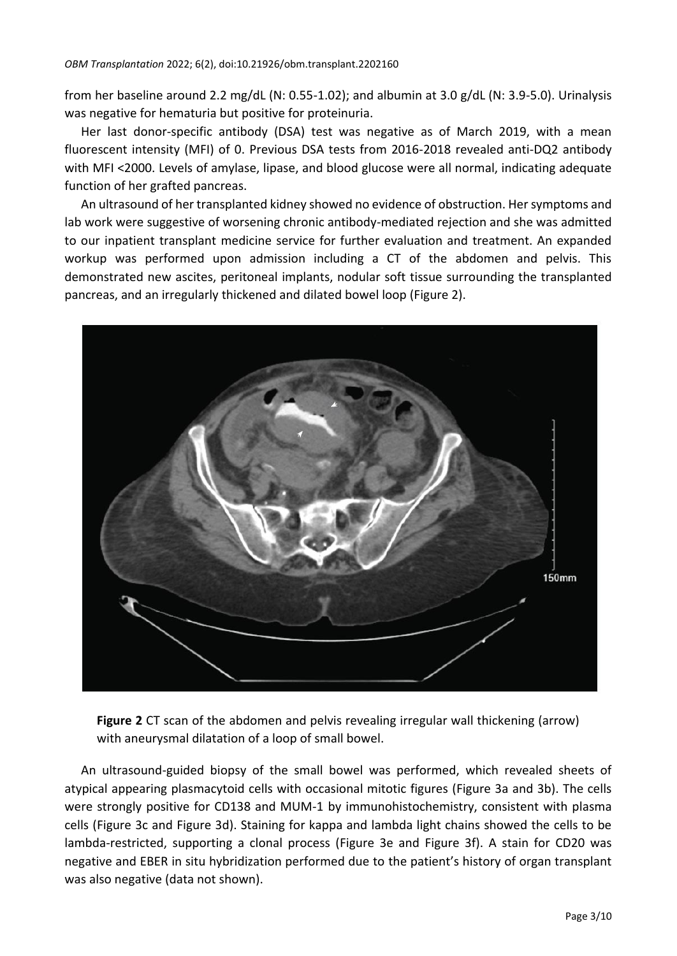from her baseline around 2.2 mg/dL (N: 0.55-1.02); and albumin at 3.0 g/dL (N: 3.9-5.0). Urinalysis was negative for hematuria but positive for proteinuria.

Her last donor-specific antibody (DSA) test was negative as of March 2019, with a mean fluorescent intensity (MFI) of 0. Previous DSA tests from 2016-2018 revealed anti-DQ2 antibody with MFI <2000. Levels of amylase, lipase, and blood glucose were all normal, indicating adequate function of her grafted pancreas.

An ultrasound of her transplanted kidney showed no evidence of obstruction. Her symptoms and lab work were suggestive of worsening chronic antibody-mediated rejection and she was admitted to our inpatient transplant medicine service for further evaluation and treatment. An expanded workup was performed upon admission including a CT of the abdomen and pelvis. This demonstrated new ascites, peritoneal implants, nodular soft tissue surrounding the transplanted pancreas, and an irregularly thickened and dilated bowel loop (Figure 2).



**Figure 2** CT scan of the abdomen and pelvis revealing irregular wall thickening (arrow) with aneurysmal dilatation of a loop of small bowel.

An ultrasound-guided biopsy of the small bowel was performed, which revealed sheets of atypical appearing plasmacytoid cells with occasional mitotic figures (Figure 3a and 3b). The cells were strongly positive for CD138 and MUM-1 by immunohistochemistry, consistent with plasma cells (Figure 3c and Figure 3d). Staining for kappa and lambda light chains showed the cells to be lambda-restricted, supporting a clonal process (Figure 3e and Figure 3f). A stain for CD20 was negative and EBER in situ hybridization performed due to the patient's history of organ transplant was also negative (data not shown).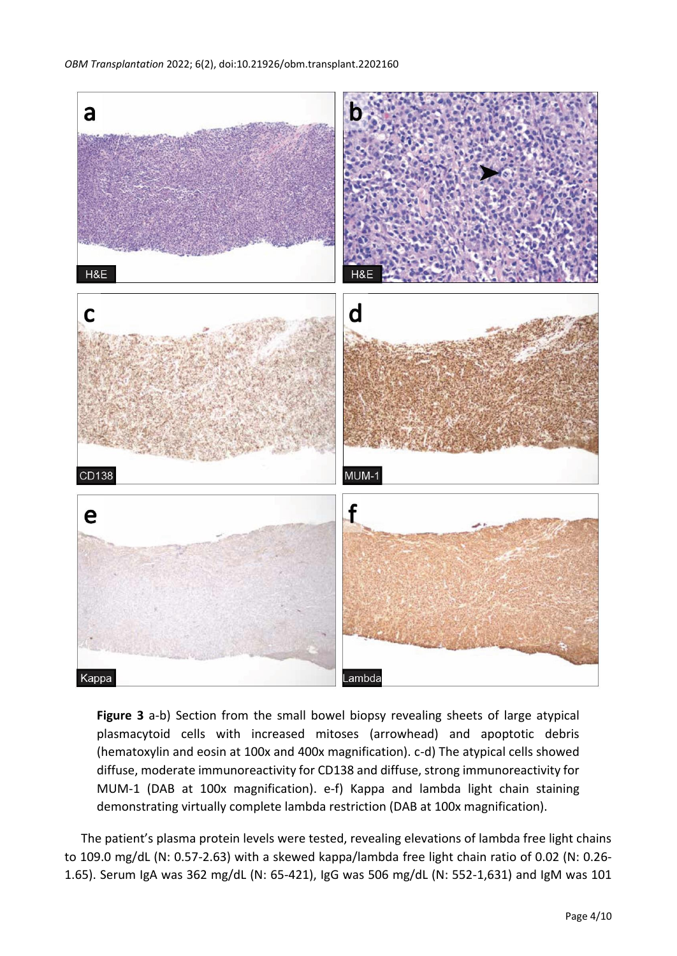

**Figure 3** a-b) Section from the small bowel biopsy revealing sheets of large atypical plasmacytoid cells with increased mitoses (arrowhead) and apoptotic debris (hematoxylin and eosin at 100x and 400x magnification). c-d) The atypical cells showed diffuse, moderate immunoreactivity for CD138 and diffuse, strong immunoreactivity for MUM-1 (DAB at 100x magnification). e-f) Kappa and lambda light chain staining demonstrating virtually complete lambda restriction (DAB at 100x magnification).

The patient's plasma protein levels were tested, revealing elevations of lambda free light chains to 109.0 mg/dL (N: 0.57-2.63) with a skewed kappa/lambda free light chain ratio of 0.02 (N: 0.26- 1.65). Serum IgA was 362 mg/dL (N: 65-421), IgG was 506 mg/dL (N: 552-1,631) and IgM was 101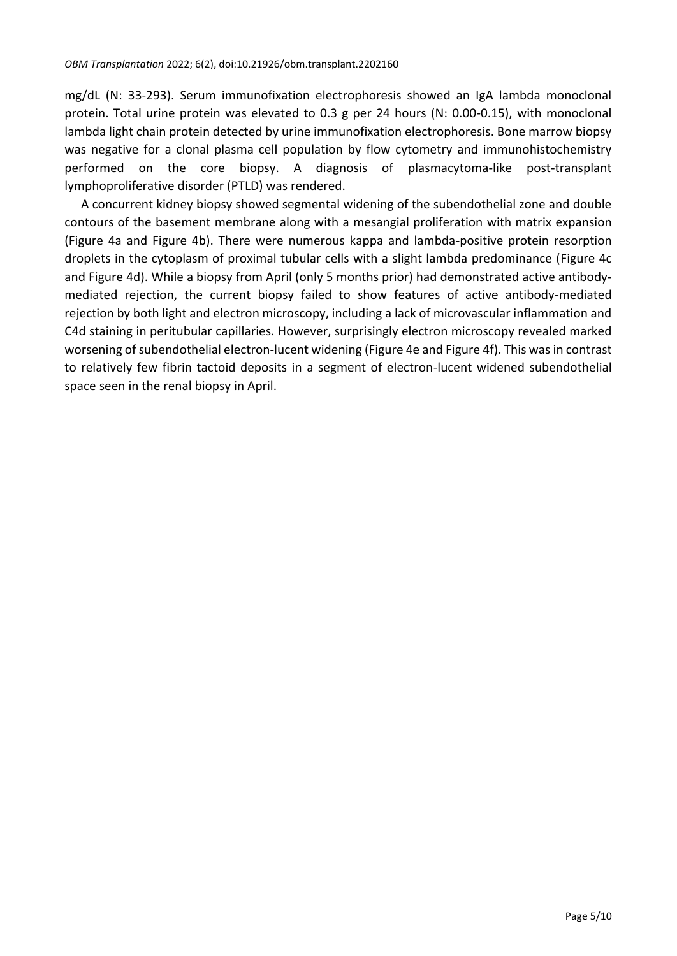mg/dL (N: 33-293). Serum immunofixation electrophoresis showed an IgA lambda monoclonal protein. Total urine protein was elevated to 0.3 g per 24 hours (N: 0.00-0.15), with monoclonal lambda light chain protein detected by urine immunofixation electrophoresis. Bone marrow biopsy was negative for a clonal plasma cell population by flow cytometry and immunohistochemistry performed on the core biopsy. A diagnosis of plasmacytoma-like post-transplant lymphoproliferative disorder (PTLD) was rendered.

A concurrent kidney biopsy showed segmental widening of the subendothelial zone and double contours of the basement membrane along with a mesangial proliferation with matrix expansion (Figure 4a and Figure 4b). There were numerous kappa and lambda-positive protein resorption droplets in the cytoplasm of proximal tubular cells with a slight lambda predominance (Figure 4c and Figure 4d). While a biopsy from April (only 5 months prior) had demonstrated active antibodymediated rejection, the current biopsy failed to show features of active antibody-mediated rejection by both light and electron microscopy, including a lack of microvascular inflammation and C4d staining in peritubular capillaries. However, surprisingly electron microscopy revealed marked worsening of subendothelial electron-lucent widening (Figure 4e and Figure 4f). This was in contrast to relatively few fibrin tactoid deposits in a segment of electron-lucent widened subendothelial space seen in the renal biopsy in April.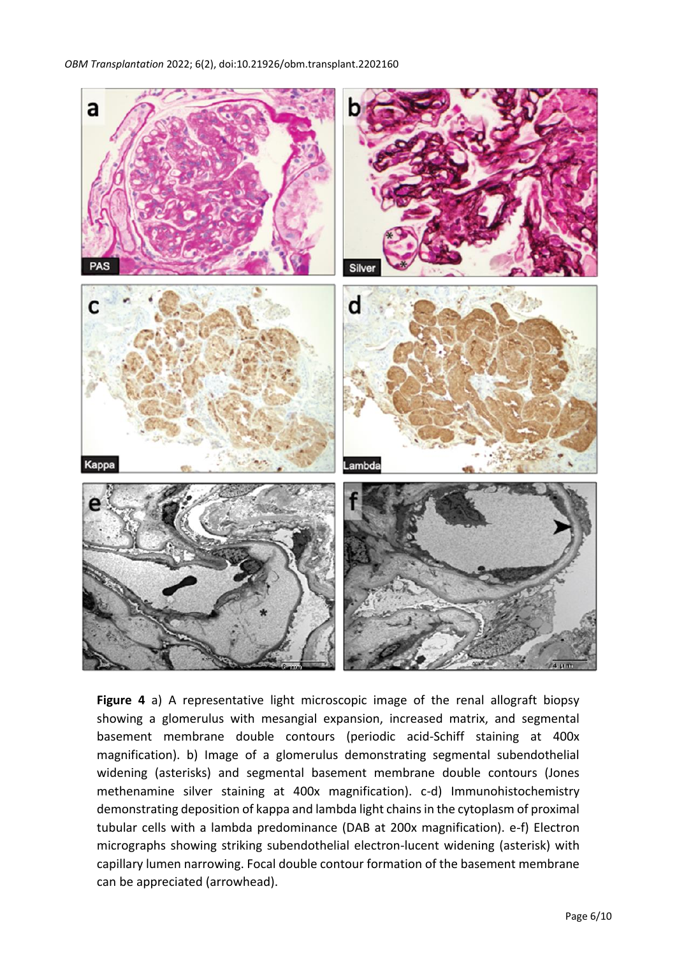

**Figure 4** a) A representative light microscopic image of the renal allograft biopsy showing a glomerulus with mesangial expansion, increased matrix, and segmental basement membrane double contours (periodic acid-Schiff staining at 400x magnification). b) Image of a glomerulus demonstrating segmental subendothelial widening (asterisks) and segmental basement membrane double contours (Jones methenamine silver staining at 400x magnification). c-d) Immunohistochemistry demonstrating deposition of kappa and lambda light chains in the cytoplasm of proximal tubular cells with a lambda predominance (DAB at 200x magnification). e-f) Electron micrographs showing striking subendothelial electron-lucent widening (asterisk) with capillary lumen narrowing. Focal double contour formation of the basement membrane can be appreciated (arrowhead).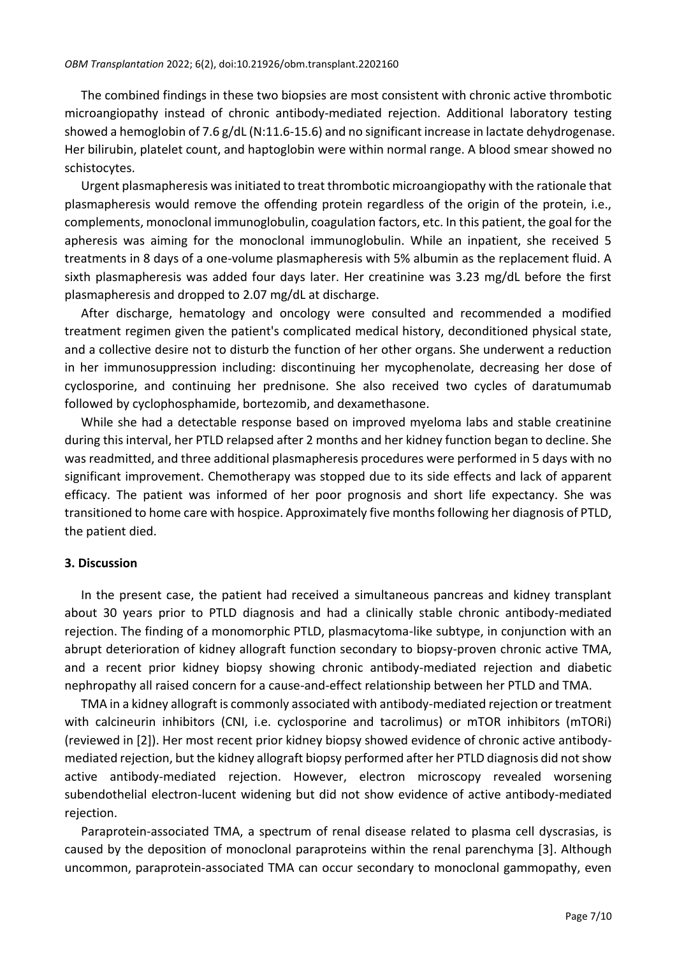The combined findings in these two biopsies are most consistent with chronic active thrombotic microangiopathy instead of chronic antibody-mediated rejection. Additional laboratory testing showed a hemoglobin of 7.6 g/dL (N:11.6-15.6) and no significant increase in lactate dehydrogenase. Her bilirubin, platelet count, and haptoglobin were within normal range. A blood smear showed no schistocytes.

Urgent plasmapheresis was initiated to treat thrombotic microangiopathy with the rationale that plasmapheresis would remove the offending protein regardless of the origin of the protein, i.e., complements, monoclonal immunoglobulin, coagulation factors, etc. In this patient, the goal for the apheresis was aiming for the monoclonal immunoglobulin. While an inpatient, she received 5 treatments in 8 days of a one-volume plasmapheresis with 5% albumin as the replacement fluid. A sixth plasmapheresis was added four days later. Her creatinine was 3.23 mg/dL before the first plasmapheresis and dropped to 2.07 mg/dL at discharge.

After discharge, hematology and oncology were consulted and recommended a modified treatment regimen given the patient's complicated medical history, deconditioned physical state, and a collective desire not to disturb the function of her other organs. She underwent a reduction in her immunosuppression including: discontinuing her mycophenolate, decreasing her dose of cyclosporine, and continuing her prednisone. She also received two cycles of daratumumab followed by cyclophosphamide, bortezomib, and dexamethasone.

While she had a detectable response based on improved myeloma labs and stable creatinine during this interval, her PTLD relapsed after 2 months and her kidney function began to decline. She was readmitted, and three additional plasmapheresis procedures were performed in 5 days with no significant improvement. Chemotherapy was stopped due to its side effects and lack of apparent efficacy. The patient was informed of her poor prognosis and short life expectancy. She was transitioned to home care with hospice. Approximately five months following her diagnosis of PTLD, the patient died.

#### **3. Discussion**

In the present case, the patient had received a simultaneous pancreas and kidney transplant about 30 years prior to PTLD diagnosis and had a clinically stable chronic antibody-mediated rejection. The finding of a monomorphic PTLD, plasmacytoma-like subtype, in conjunction with an abrupt deterioration of kidney allograft function secondary to biopsy-proven chronic active TMA, and a recent prior kidney biopsy showing chronic antibody-mediated rejection and diabetic nephropathy all raised concern for a cause-and-effect relationship between her PTLD and TMA.

TMA in a kidney allograft is commonly associated with antibody-mediated rejection or treatment with calcineurin inhibitors (CNI, i.e. cyclosporine and tacrolimus) or mTOR inhibitors (mTORi) (reviewed in [2]). Her most recent prior kidney biopsy showed evidence of chronic active antibodymediated rejection, but the kidney allograft biopsy performed after her PTLD diagnosis did not show active antibody-mediated rejection. However, electron microscopy revealed worsening subendothelial electron-lucent widening but did not show evidence of active antibody-mediated rejection.

Paraprotein-associated TMA, a spectrum of renal disease related to plasma cell dyscrasias, is caused by the deposition of monoclonal paraproteins within the renal parenchyma [3]. Although uncommon, paraprotein-associated TMA can occur secondary to monoclonal gammopathy, even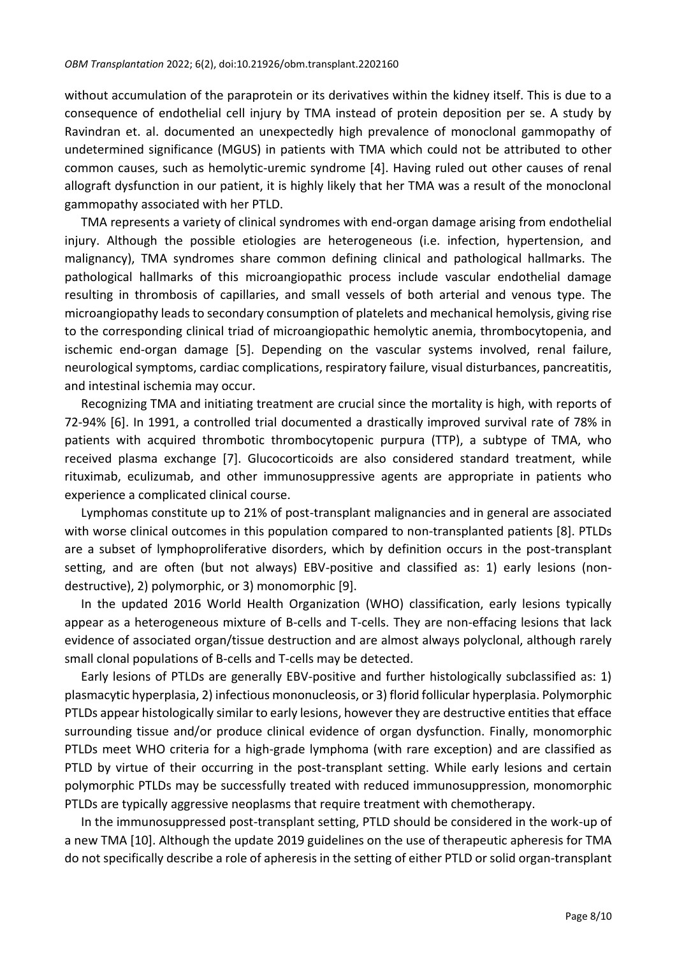without accumulation of the paraprotein or its derivatives within the kidney itself. This is due to a consequence of endothelial cell injury by TMA instead of protein deposition per se. A study by Ravindran et. al. documented an unexpectedly high prevalence of monoclonal gammopathy of undetermined significance (MGUS) in patients with TMA which could not be attributed to other common causes, such as hemolytic-uremic syndrome [4]. Having ruled out other causes of renal allograft dysfunction in our patient, it is highly likely that her TMA was a result of the monoclonal gammopathy associated with her PTLD.

TMA represents a variety of clinical syndromes with end-organ damage arising from endothelial injury. Although the possible etiologies are heterogeneous (i.e. infection, hypertension, and malignancy), TMA syndromes share common defining clinical and pathological hallmarks. The pathological hallmarks of this microangiopathic process include vascular endothelial damage resulting in thrombosis of capillaries, and small vessels of both arterial and venous type. The microangiopathy leads to secondary consumption of platelets and mechanical hemolysis, giving rise to the corresponding clinical triad of microangiopathic hemolytic anemia, thrombocytopenia, and ischemic end-organ damage [5]. Depending on the vascular systems involved, renal failure, neurological symptoms, cardiac complications, respiratory failure, visual disturbances, pancreatitis, and intestinal ischemia may occur.

Recognizing TMA and initiating treatment are crucial since the mortality is high, with reports of 72-94% [6]. In 1991, a controlled trial documented a drastically improved survival rate of 78% in patients with acquired thrombotic thrombocytopenic purpura (TTP), a subtype of TMA, who received plasma exchange [7]. Glucocorticoids are also considered standard treatment, while rituximab, eculizumab, and other immunosuppressive agents are appropriate in patients who experience a complicated clinical course.

Lymphomas constitute up to 21% of post-transplant malignancies and in general are associated with worse clinical outcomes in this population compared to non-transplanted patients [8]. PTLDs are a subset of lymphoproliferative disorders, which by definition occurs in the post-transplant setting, and are often (but not always) EBV-positive and classified as: 1) early lesions (nondestructive), 2) polymorphic, or 3) monomorphic [9].

In the updated 2016 World Health Organization (WHO) classification, early lesions typically appear as a heterogeneous mixture of B-cells and T-cells. They are non-effacing lesions that lack evidence of associated organ/tissue destruction and are almost always polyclonal, although rarely small clonal populations of B-cells and T-cells may be detected.

Early lesions of PTLDs are generally EBV-positive and further histologically subclassified as: 1) plasmacytic hyperplasia, 2) infectious mononucleosis, or 3) florid follicular hyperplasia. Polymorphic PTLDs appear histologically similar to early lesions, however they are destructive entities that efface surrounding tissue and/or produce clinical evidence of organ dysfunction. Finally, monomorphic PTLDs meet WHO criteria for a high-grade lymphoma (with rare exception) and are classified as PTLD by virtue of their occurring in the post-transplant setting. While early lesions and certain polymorphic PTLDs may be successfully treated with reduced immunosuppression, monomorphic PTLDs are typically aggressive neoplasms that require treatment with chemotherapy.

In the immunosuppressed post-transplant setting, PTLD should be considered in the work-up of a new TMA [10]. Although the update 2019 guidelines on the use of therapeutic apheresis for TMA do not specifically describe a role of apheresis in the setting of either PTLD or solid organ-transplant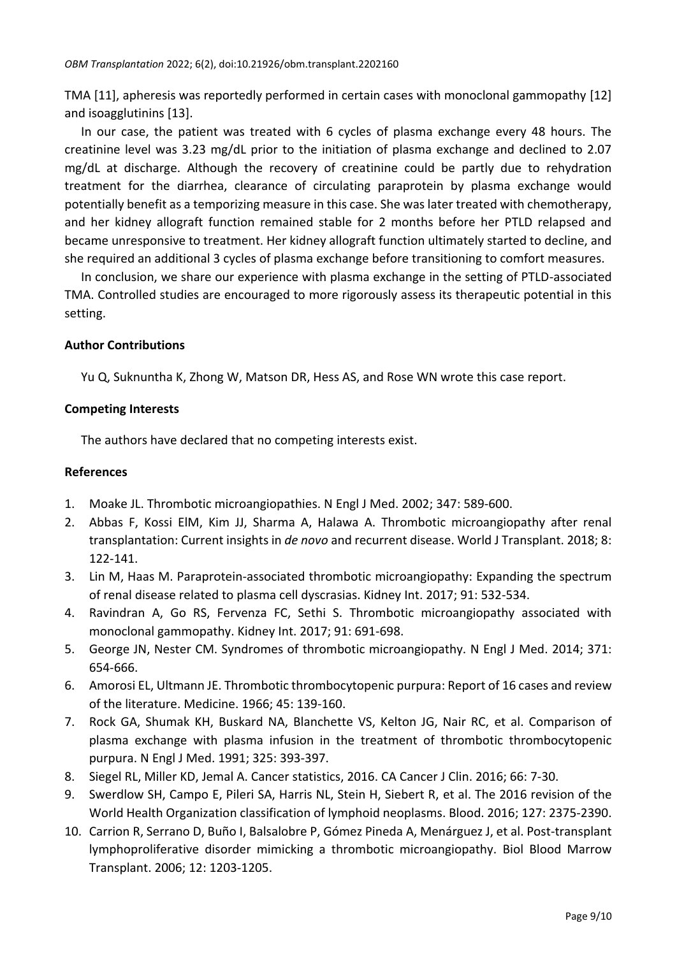TMA [11], apheresis was reportedly performed in certain cases with monoclonal gammopathy [12] and isoagglutinins [13].

In our case, the patient was treated with 6 cycles of plasma exchange every 48 hours. The creatinine level was 3.23 mg/dL prior to the initiation of plasma exchange and declined to 2.07 mg/dL at discharge. Although the recovery of creatinine could be partly due to rehydration treatment for the diarrhea, clearance of circulating paraprotein by plasma exchange would potentially benefit as a temporizing measure in this case. She was later treated with chemotherapy, and her kidney allograft function remained stable for 2 months before her PTLD relapsed and became unresponsive to treatment. Her kidney allograft function ultimately started to decline, and she required an additional 3 cycles of plasma exchange before transitioning to comfort measures.

In conclusion, we share our experience with plasma exchange in the setting of PTLD-associated TMA. Controlled studies are encouraged to more rigorously assess its therapeutic potential in this setting.

# **Author Contributions**

Yu Q, Suknuntha K, Zhong W, Matson DR, Hess AS, and Rose WN wrote this case report.

## **Competing Interests**

The authors have declared that no competing interests exist.

#### **References**

- 1. Moake JL. Thrombotic microangiopathies. N Engl J Med. 2002; 347: 589-600.
- 2. Abbas F, Kossi ElM, Kim JJ, Sharma A, Halawa A. Thrombotic microangiopathy after renal transplantation: Current insights in *de novo* and recurrent disease. World J Transplant. 2018; 8: 122-141.
- 3. Lin M, Haas M. Paraprotein-associated thrombotic microangiopathy: Expanding the spectrum of renal disease related to plasma cell dyscrasias. Kidney Int. 2017; 91: 532-534.
- 4. Ravindran A, Go RS, Fervenza FC, Sethi S. Thrombotic microangiopathy associated with monoclonal gammopathy. Kidney Int. 2017; 91: 691-698.
- 5. George JN, Nester CM. Syndromes of thrombotic microangiopathy. N Engl J Med. 2014; 371: 654-666.
- 6. Amorosi EL, Ultmann JE. Thrombotic thrombocytopenic purpura: Report of 16 cases and review of the literature. Medicine. 1966; 45: 139-160.
- 7. Rock GA, Shumak KH, Buskard NA, Blanchette VS, Kelton JG, Nair RC, et al. Comparison of plasma exchange with plasma infusion in the treatment of thrombotic thrombocytopenic purpura. N Engl J Med. 1991; 325: 393-397.
- 8. Siegel RL, Miller KD, Jemal A. Cancer statistics, 2016. CA Cancer J Clin. 2016; 66: 7-30.
- 9. Swerdlow SH, Campo E, Pileri SA, Harris NL, Stein H, Siebert R, et al. The 2016 revision of the World Health Organization classification of lymphoid neoplasms. Blood. 2016; 127: 2375-2390.
- 10. Carrion R, Serrano D, Buño I, Balsalobre P, Gómez Pineda A, Menárguez J, et al. Post-transplant lymphoproliferative disorder mimicking a thrombotic microangiopathy. Biol Blood Marrow Transplant. 2006; 12: 1203-1205.